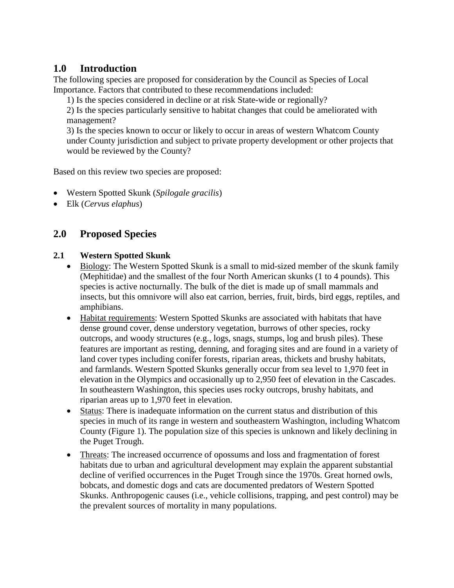# **1.0 Introduction**

The following species are proposed for consideration by the Council as Species of Local Importance. Factors that contributed to these recommendations included:

1) Is the species considered in decline or at risk State-wide or regionally?

2) Is the species particularly sensitive to habitat changes that could be ameliorated with management?

3) Is the species known to occur or likely to occur in areas of western Whatcom County under County jurisdiction and subject to private property development or other projects that would be reviewed by the County?

Based on this review two species are proposed:

- Western Spotted Skunk (*Spilogale gracilis*)
- Elk (*Cervus elaphus*)

# **2.0 Proposed Species**

### **2.1 Western Spotted Skunk**

- Biology: The Western Spotted Skunk is a small to mid-sized member of the skunk family (Mephitidae) and the smallest of the four North American skunks (1 to 4 pounds). This species is active nocturnally. The bulk of the diet is made up of small mammals and insects, but this omnivore will also eat carrion, berries, fruit, birds, bird eggs, reptiles, and amphibians.
- Habitat requirements: Western Spotted Skunks are associated with habitats that have dense ground cover, dense understory vegetation, burrows of other species, rocky outcrops, and woody structures (e.g., logs, snags, stumps, log and brush piles). These features are important as resting, denning, and foraging sites and are found in a variety of land cover types including conifer forests, riparian areas, thickets and brushy habitats, and farmlands. Western Spotted Skunks generally occur from sea level to 1,970 feet in elevation in the Olympics and occasionally up to 2,950 feet of elevation in the Cascades. In southeastern Washington, this species uses rocky outcrops, brushy habitats, and riparian areas up to 1,970 feet in elevation.
- Status: There is inadequate information on the current status and distribution of this species in much of its range in western and southeastern Washington, including Whatcom County (Figure 1). The population size of this species is unknown and likely declining in the Puget Trough.
- Threats: The increased occurrence of opossums and loss and fragmentation of forest habitats due to urban and agricultural development may explain the apparent substantial decline of verified occurrences in the Puget Trough since the 1970s. Great horned owls, bobcats, and domestic dogs and cats are documented predators of Western Spotted Skunks. Anthropogenic causes (i.e., vehicle collisions, trapping, and pest control) may be the prevalent sources of mortality in many populations.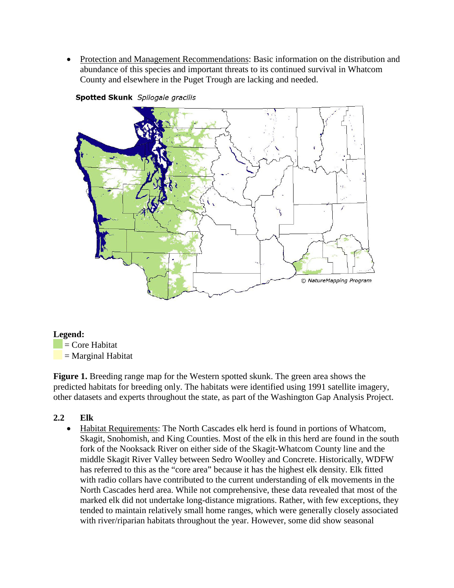• Protection and Management Recommendations: Basic information on the distribution and abundance of this species and important threats to its continued survival in Whatcom County and elsewhere in the Puget Trough are lacking and needed.



### Spotted Skunk Spilogale gracilis

#### **Legend:**

 $=$  Core Habitat = Marginal Habitat

**Figure 1.** Breeding range map for the Western spotted skunk. The green area shows the predicted habitats for breeding only. The habitats were identified using 1991 satellite imagery, other datasets and experts throughout the state, as part of the Washington Gap Analysis Project.

### **2.2 Elk**

• Habitat Requirements: The North Cascades elk herd is found in portions of Whatcom, Skagit, Snohomish, and King Counties. Most of the elk in this herd are found in the south fork of the Nooksack River on either side of the Skagit-Whatcom County line and the middle Skagit River Valley between Sedro Woolley and Concrete. Historically, WDFW has referred to this as the "core area" because it has the highest elk density. Elk fitted with radio collars have contributed to the current understanding of elk movements in the North Cascades herd area. While not comprehensive, these data revealed that most of the marked elk did not undertake long-distance migrations. Rather, with few exceptions, they tended to maintain relatively small home ranges, which were generally closely associated with river/riparian habitats throughout the year. However, some did show seasonal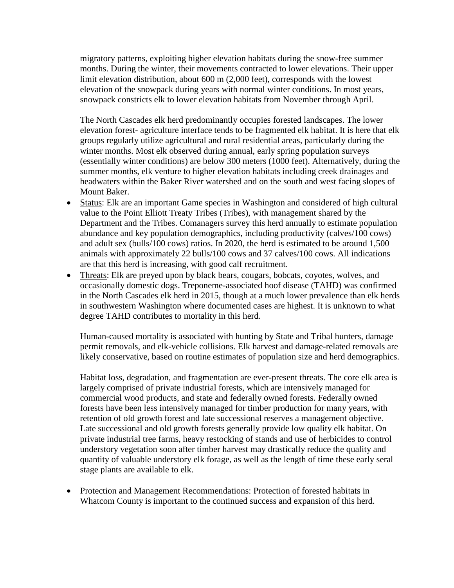migratory patterns, exploiting higher elevation habitats during the snow-free summer months. During the winter, their movements contracted to lower elevations. Their upper limit elevation distribution, about 600 m (2,000 feet), corresponds with the lowest elevation of the snowpack during years with normal winter conditions. In most years, snowpack constricts elk to lower elevation habitats from November through April.

The North Cascades elk herd predominantly occupies forested landscapes. The lower elevation forest- agriculture interface tends to be fragmented elk habitat. It is here that elk groups regularly utilize agricultural and rural residential areas, particularly during the winter months. Most elk observed during annual, early spring population surveys (essentially winter conditions) are below 300 meters (1000 feet). Alternatively, during the summer months, elk venture to higher elevation habitats including creek drainages and headwaters within the Baker River watershed and on the south and west facing slopes of Mount Baker.

- Status: Elk are an important Game species in Washington and considered of high cultural value to the Point Elliott Treaty Tribes (Tribes), with management shared by the Department and the Tribes. Comanagers survey this herd annually to estimate population abundance and key population demographics, including productivity (calves/100 cows) and adult sex (bulls/100 cows) ratios. In 2020, the herd is estimated to be around 1,500 animals with approximately 22 bulls/100 cows and 37 calves/100 cows. All indications are that this herd is increasing, with good calf recruitment.
- Threats: Elk are preyed upon by black bears, cougars, bobcats, coyotes, wolves, and occasionally domestic dogs. Treponeme-associated hoof disease (TAHD) was confirmed in the North Cascades elk herd in 2015, though at a much lower prevalence than elk herds in southwestern Washington where documented cases are highest. It is unknown to what degree TAHD contributes to mortality in this herd.

Human-caused mortality is associated with hunting by State and Tribal hunters, damage permit removals, and elk-vehicle collisions. Elk harvest and damage-related removals are likely conservative, based on routine estimates of population size and herd demographics.

Habitat loss, degradation, and fragmentation are ever-present threats. The core elk area is largely comprised of private industrial forests, which are intensively managed for commercial wood products, and state and federally owned forests. Federally owned forests have been less intensively managed for timber production for many years, with retention of old growth forest and late successional reserves a management objective. Late successional and old growth forests generally provide low quality elk habitat. On private industrial tree farms, heavy restocking of stands and use of herbicides to control understory vegetation soon after timber harvest may drastically reduce the quality and quantity of valuable understory elk forage, as well as the length of time these early seral stage plants are available to elk.

• Protection and Management Recommendations: Protection of forested habitats in Whatcom County is important to the continued success and expansion of this herd.